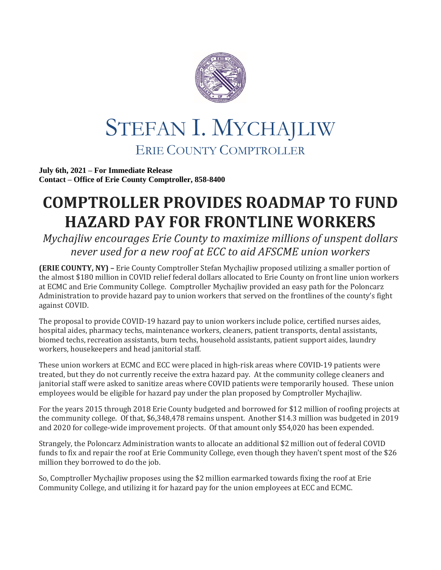

## STEFAN I. MYCHAJLIW ERIE COUNTY COMPTROLLER

**July 6th, 2021 – For Immediate Release Contact – Office of Erie County Comptroller, 858-8400**

## **COMPTROLLER PROVIDES ROADMAP TO FUND HAZARD PAY FOR FRONTLINE WORKERS**

*Mychajliw encourages Erie County to maximize millions of unspent dollars never used for a new roof at ECC to aid AFSCME union workers* 

**(ERIE COUNTY, NY) –** Erie County Comptroller Stefan Mychajliw proposed utilizing a smaller portion of the almost \$180 million in COVID relief federal dollars allocated to Erie County on front line union workers at ECMC and Erie Community College. Comptroller Mychajliw provided an easy path for the Poloncarz Administration to provide hazard pay to union workers that served on the frontlines of the county's fight against COVID.

The proposal to provide COVID-19 hazard pay to union workers include police, certified nurses aides, hospital aides, pharmacy techs, maintenance workers, cleaners, patient transports, dental assistants, biomed techs, recreation assistants, burn techs, household assistants, patient support aides, laundry workers, housekeepers and head janitorial staff.

These union workers at ECMC and ECC were placed in high-risk areas where COVID-19 patients were treated, but they do not currently receive the extra hazard pay. At the community college cleaners and janitorial staff were asked to sanitize areas where COVID patients were temporarily housed. These union employees would be eligible for hazard pay under the plan proposed by Comptroller Mychajliw.

For the years 2015 through 2018 Erie County budgeted and borrowed for \$12 million of roofing projects at the community college. Of that, \$6,348,478 remains unspent. Another \$14.3 million was budgeted in 2019 and 2020 for college-wide improvement projects. Of that amount only \$54,020 has been expended.

Strangely, the Poloncarz Administration wants to allocate an additional \$2 million out of federal COVID funds to fix and repair the roof at Erie Community College, even though they haven't spent most of the \$26 million they borrowed to do the job.

So, Comptroller Mychajliw proposes using the \$2 million earmarked towards fixing the roof at Erie Community College, and utilizing it for hazard pay for the union employees at ECC and ECMC.